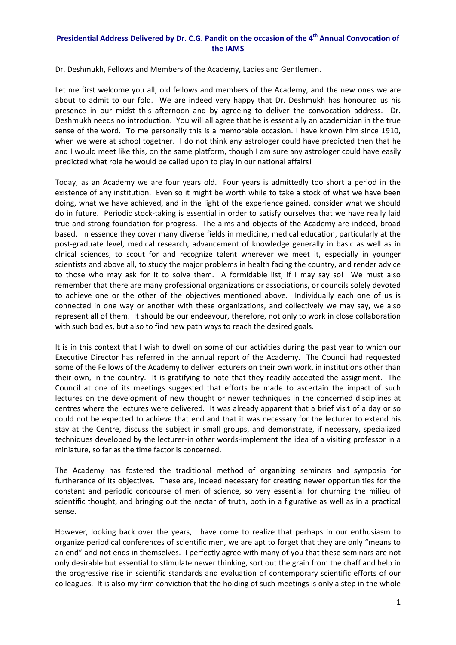## **Presidential Address Delivered by Dr. C.G. Pandit on the occasion of the 4th Annual Convocation of the IAMS**

Dr. Deshmukh, Fellows and Members of the Academy, Ladies and Gentlemen.

Let me first welcome you all, old fellows and members of the Academy, and the new ones we are about to admit to our fold. We are indeed very happy that Dr. Deshmukh has honoured us his presence in our midst this afternoon and by agreeing to deliver the convocation address. Dr. Deshmukh needs no introduction. You will all agree that he is essentially an academician in the true sense of the word. To me personally this is a memorable occasion. I have known him since 1910, when we were at school together. I do not think any astrologer could have predicted then that he and I would meet like this, on the same platform, though I am sure any astrologer could have easily predicted what role he would be called upon to play in our national affairs!

Today, as an Academy we are four years old. Four years is admittedly too short a period in the existence of any institution. Even so it might be worth while to take a stock of what we have been doing, what we have achieved, and in the light of the experience gained, consider what we should do in future. Periodic stock‐taking is essential in order to satisfy ourselves that we have really laid true and strong foundation for progress. The aims and objects of the Academy are indeed, broad based. In essence they cover many diverse fields in medicine, medical education, particularly at the post-graduate level, medical research, advancement of knowledge generally in basic as well as in clnical sciences, to scout for and recognize talent wherever we meet it, especially in younger scientists and above all, to study the major problems in health facing the country, and render advice to those who may ask for it to solve them. A formidable list, if I may say so! We must also remember that there are many professional organizations or associations, or councils solely devoted to achieve one or the other of the objectives mentioned above. Individually each one of us is connected in one way or another with these organizations, and collectively we may say, we also represent all of them. It should be our endeavour, therefore, not only to work in close collaboration with such bodies, but also to find new path ways to reach the desired goals.

It is in this context that I wish to dwell on some of our activities during the past year to which our Executive Director has referred in the annual report of the Academy. The Council had requested some of the Fellows of the Academy to deliver lecturers on their own work, in institutions other than their own, in the country. It is gratifying to note that they readily accepted the assignment. The Council at one of its meetings suggested that efforts be made to ascertain the impact of such lectures on the development of new thought or newer techniques in the concerned disciplines at centres where the lectures were delivered. It was already apparent that a brief visit of a day or so could not be expected to achieve that end and that it was necessary for the lecturer to extend his stay at the Centre, discuss the subject in small groups, and demonstrate, if necessary, specialized techniques developed by the lecturer-in other words-implement the idea of a visiting professor in a miniature, so far as the time factor is concerned.

The Academy has fostered the traditional method of organizing seminars and symposia for furtherance of its objectives. These are, indeed necessary for creating newer opportunities for the constant and periodic concourse of men of science, so very essential for churning the milieu of scientific thought, and bringing out the nectar of truth, both in a figurative as well as in a practical sense.

However, looking back over the years, I have come to realize that perhaps in our enthusiasm to organize periodical conferences of scientific men, we are apt to forget that they are only "means to an end" and not ends in themselves. I perfectly agree with many of you that these seminars are not only desirable but essential to stimulate newer thinking, sort out the grain from the chaff and help in the progressive rise in scientific standards and evaluation of contemporary scientific efforts of our colleagues. It is also my firm conviction that the holding of such meetings is only a step in the whole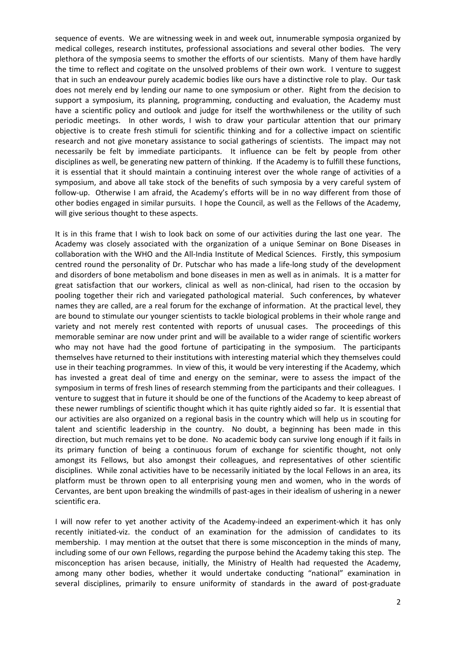sequence of events. We are witnessing week in and week out, innumerable symposia organized by medical colleges, research institutes, professional associations and several other bodies. The very plethora of the symposia seems to smother the efforts of our scientists. Many of them have hardly the time to reflect and cogitate on the unsolved problems of their own work. I venture to suggest that in such an endeavour purely academic bodies like ours have a distinctive role to play. Our task does not merely end by lending our name to one symposium or other. Right from the decision to support a symposium, its planning, programming, conducting and evaluation, the Academy must have a scientific policy and outlook and judge for itself the worthwhileness or the utility of such periodic meetings. In other words, I wish to draw your particular attention that our primary objective is to create fresh stimuli for scientific thinking and for a collective impact on scientific research and not give monetary assistance to social gatherings of scientists. The impact may not necessarily be felt by immediate participants. It influence can be felt by people from other disciplines as well, be generating new pattern of thinking. If the Academy is to fulfill these functions, it is essential that it should maintain a continuing interest over the whole range of activities of a symposium, and above all take stock of the benefits of such symposia by a very careful system of follow‐up. Otherwise I am afraid, the Academy's efforts will be in no way different from those of other bodies engaged in similar pursuits. I hope the Council, as well as the Fellows of the Academy, will give serious thought to these aspects.

It is in this frame that I wish to look back on some of our activities during the last one year. The Academy was closely associated with the organization of a unique Seminar on Bone Diseases in collaboration with the WHO and the All‐India Institute of Medical Sciences. Firstly, this symposium centred round the personality of Dr. Putschar who has made a life‐long study of the development and disorders of bone metabolism and bone diseases in men as well as in animals. It is a matter for great satisfaction that our workers, clinical as well as non‐clinical, had risen to the occasion by pooling together their rich and variegated pathological material. Such conferences, by whatever names they are called, are a real forum for the exchange of information. At the practical level, they are bound to stimulate our younger scientists to tackle biological problems in their whole range and variety and not merely rest contented with reports of unusual cases. The proceedings of this memorable seminar are now under print and will be available to a wider range of scientific workers who may not have had the good fortune of participating in the symposium. The participants themselves have returned to their institutions with interesting material which they themselves could use in their teaching programmes. In view of this, it would be very interesting if the Academy, which has invested a great deal of time and energy on the seminar, were to assess the impact of the symposium in terms of fresh lines of research stemming from the participants and their colleagues. I venture to suggest that in future it should be one of the functions of the Academy to keep abreast of these newer rumblings of scientific thought which it has quite rightly aided so far. It is essential that our activities are also organized on a regional basis in the country which will help us in scouting for talent and scientific leadership in the country. No doubt, a beginning has been made in this direction, but much remains yet to be done. No academic body can survive long enough if it fails in its primary function of being a continuous forum of exchange for scientific thought, not only amongst its Fellows, but also amongst their colleagues, and representatives of other scientific disciplines. While zonal activities have to be necessarily initiated by the local Fellows in an area, its platform must be thrown open to all enterprising young men and women, who in the words of Cervantes, are bent upon breaking the windmills of past‐ages in their idealism of ushering in a newer scientific era.

I will now refer to yet another activity of the Academy‐indeed an experiment‐which it has only recently initiated‐viz. the conduct of an examination for the admission of candidates to its membership. I may mention at the outset that there is some misconception in the minds of many, including some of our own Fellows, regarding the purpose behind the Academy taking this step. The misconception has arisen because, initially, the Ministry of Health had requested the Academy, among many other bodies, whether it would undertake conducting "national" examination in several disciplines, primarily to ensure uniformity of standards in the award of post-graduate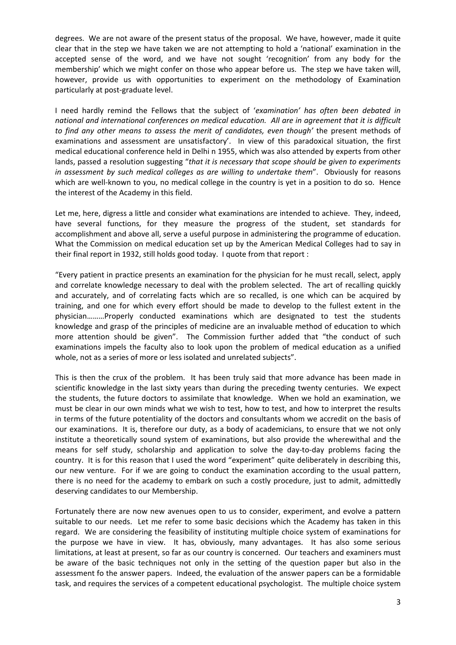degrees. We are not aware of the present status of the proposal. We have, however, made it quite clear that in the step we have taken we are not attempting to hold a 'national' examination in the accepted sense of the word, and we have not sought 'recognition' from any body for the membership' which we might confer on those who appear before us. The step we have taken will, however, provide us with opportunities to experiment on the methodology of Examination particularly at post‐graduate level.

I need hardly remind the Fellows that the subject of '*examination' has often been debated in national and international conferences on medical education. All are in agreement that it is difficult to find any other means to assess the merit of candidates, even though'* the present methods of examinations and assessment are unsatisfactory'. In view of this paradoxical situation, the first medical educational conference held in Delhi n 1955, which was also attended by experts from other lands, passed a resolution suggesting "*that it is necessary that scope should be given to experiments in assessment by such medical colleges as are willing to undertake them*". Obviously for reasons which are well-known to you, no medical college in the country is yet in a position to do so. Hence the interest of the Academy in this field.

Let me, here, digress a little and consider what examinations are intended to achieve. They, indeed, have several functions, for they measure the progress of the student, set standards for accomplishment and above all, serve a useful purpose in administering the programme of education. What the Commission on medical education set up by the American Medical Colleges had to say in their final report in 1932, still holds good today. I quote from that report :

"Every patient in practice presents an examination for the physician for he must recall, select, apply and correlate knowledge necessary to deal with the problem selected. The art of recalling quickly and accurately, and of correlating facts which are so recalled, is one which can be acquired by training, and one for which every effort should be made to develop to the fullest extent in the physician………Properly conducted examinations which are designated to test the students knowledge and grasp of the principles of medicine are an invaluable method of education to which more attention should be given". The Commission further added that "the conduct of such examinations impels the faculty also to look upon the problem of medical education as a unified whole, not as a series of more or less isolated and unrelated subjects".

This is then the crux of the problem. It has been truly said that more advance has been made in scientific knowledge in the last sixty years than during the preceding twenty centuries. We expect the students, the future doctors to assimilate that knowledge. When we hold an examination, we must be clear in our own minds what we wish to test, how to test, and how to interpret the results in terms of the future potentiality of the doctors and consultants whom we accredit on the basis of our examinations. It is, therefore our duty, as a body of academicians, to ensure that we not only institute a theoretically sound system of examinations, but also provide the wherewithal and the means for self study, scholarship and application to solve the day-to-day problems facing the country. It is for this reason that I used the word "experiment" quite deliberately in describing this, our new venture. For if we are going to conduct the examination according to the usual pattern, there is no need for the academy to embark on such a costly procedure, just to admit, admittedly deserving candidates to our Membership.

Fortunately there are now new avenues open to us to consider, experiment, and evolve a pattern suitable to our needs. Let me refer to some basic decisions which the Academy has taken in this regard. We are considering the feasibility of instituting multiple choice system of examinations for the purpose we have in view. It has, obviously, many advantages. It has also some serious limitations, at least at present, so far as our country is concerned. Our teachers and examiners must be aware of the basic techniques not only in the setting of the question paper but also in the assessment fo the answer papers. Indeed, the evaluation of the answer papers can be a formidable task, and requires the services of a competent educational psychologist. The multiple choice system